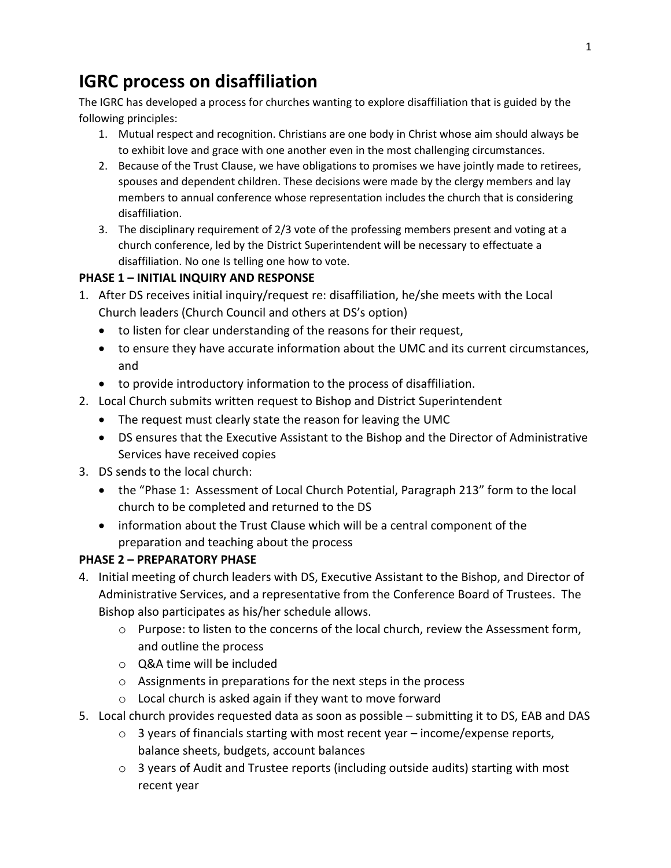# **IGRC process on disaffiliation**

The IGRC has developed a process for churches wanting to explore disaffiliation that is guided by the following principles:

- 1. Mutual respect and recognition. Christians are one body in Christ whose aim should always be to exhibit love and grace with one another even in the most challenging circumstances.
- 2. Because of the Trust Clause, we have obligations to promises we have jointly made to retirees, spouses and dependent children. These decisions were made by the clergy members and lay members to annual conference whose representation includes the church that is considering disaffiliation.
- 3. The disciplinary requirement of 2/3 vote of the professing members present and voting at a church conference, led by the District Superintendent will be necessary to effectuate a disaffiliation. No one Is telling one how to vote.

#### **PHASE 1 – INITIAL INQUIRY AND RESPONSE**

- 1. After DS receives initial inquiry/request re: disaffiliation, he/she meets with the Local Church leaders (Church Council and others at DS's option)
	- to listen for clear understanding of the reasons for their request,
	- to ensure they have accurate information about the UMC and its current circumstances, and
	- to provide introductory information to the process of disaffiliation.
- 2. Local Church submits written request to Bishop and District Superintendent
	- The request must clearly state the reason for leaving the UMC
	- DS ensures that the Executive Assistant to the Bishop and the Director of Administrative Services have received copies
- 3. DS sends to the local church:
	- the "Phase 1: Assessment of Local Church Potential, Paragraph 213" form to the local church to be completed and returned to the DS
	- information about the Trust Clause which will be a central component of the preparation and teaching about the process

### **PHASE 2 – PREPARATORY PHASE**

- 4. Initial meeting of church leaders with DS, Executive Assistant to the Bishop, and Director of Administrative Services, and a representative from the Conference Board of Trustees. The Bishop also participates as his/her schedule allows.
	- $\circ$  Purpose: to listen to the concerns of the local church, review the Assessment form, and outline the process
	- o Q&A time will be included
	- o Assignments in preparations for the next steps in the process
	- o Local church is asked again if they want to move forward
- 5. Local church provides requested data as soon as possible submitting it to DS, EAB and DAS
	- $\circ$  3 years of financials starting with most recent year income/expense reports, balance sheets, budgets, account balances
	- o 3 years of Audit and Trustee reports (including outside audits) starting with most recent year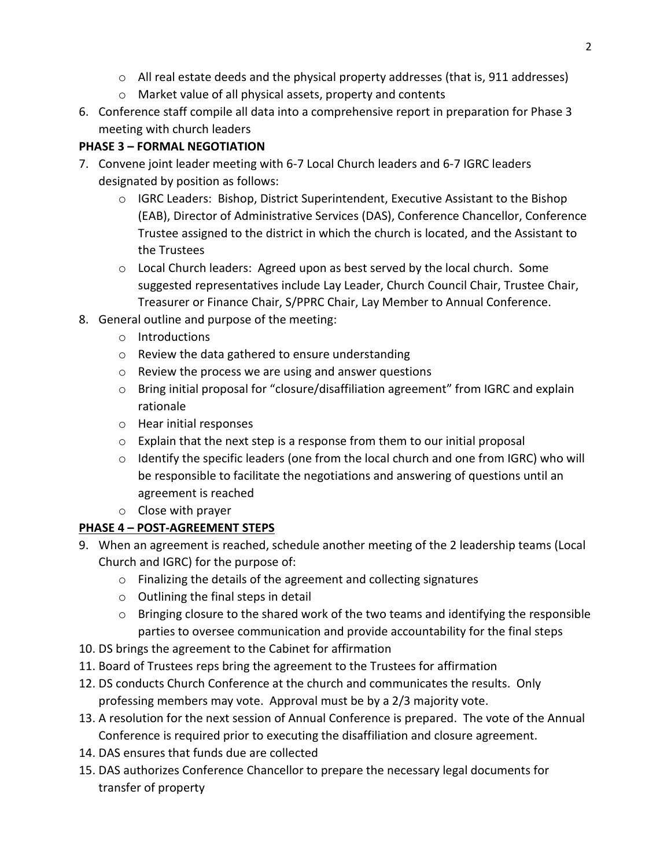- $\circ$  All real estate deeds and the physical property addresses (that is, 911 addresses)
- o Market value of all physical assets, property and contents
- 6. Conference staff compile all data into a comprehensive report in preparation for Phase 3 meeting with church leaders

## **PHASE 3 – FORMAL NEGOTIATION**

- 7. Convene joint leader meeting with 6-7 Local Church leaders and 6-7 IGRC leaders designated by position as follows:
	- o IGRC Leaders: Bishop, District Superintendent, Executive Assistant to the Bishop (EAB), Director of Administrative Services (DAS), Conference Chancellor, Conference Trustee assigned to the district in which the church is located, and the Assistant to the Trustees
	- $\circ$  Local Church leaders: Agreed upon as best served by the local church. Some suggested representatives include Lay Leader, Church Council Chair, Trustee Chair, Treasurer or Finance Chair, S/PPRC Chair, Lay Member to Annual Conference.
- 8. General outline and purpose of the meeting:
	- o Introductions
	- o Review the data gathered to ensure understanding
	- o Review the process we are using and answer questions
	- $\circ$  Bring initial proposal for "closure/disaffiliation agreement" from IGRC and explain rationale
	- o Hear initial responses
	- o Explain that the next step is a response from them to our initial proposal
	- $\circ$  Identify the specific leaders (one from the local church and one from IGRC) who will be responsible to facilitate the negotiations and answering of questions until an agreement is reached
	- o Close with prayer

## **PHASE 4 – POST-AGREEMENT STEPS**

- 9. When an agreement is reached, schedule another meeting of the 2 leadership teams (Local Church and IGRC) for the purpose of:
	- o Finalizing the details of the agreement and collecting signatures
	- o Outlining the final steps in detail
	- o Bringing closure to the shared work of the two teams and identifying the responsible parties to oversee communication and provide accountability for the final steps
- 10. DS brings the agreement to the Cabinet for affirmation
- 11. Board of Trustees reps bring the agreement to the Trustees for affirmation
- 12. DS conducts Church Conference at the church and communicates the results. Only professing members may vote. Approval must be by a 2/3 majority vote.
- 13. A resolution for the next session of Annual Conference is prepared. The vote of the Annual Conference is required prior to executing the disaffiliation and closure agreement.
- 14. DAS ensures that funds due are collected
- 15. DAS authorizes Conference Chancellor to prepare the necessary legal documents for transfer of property